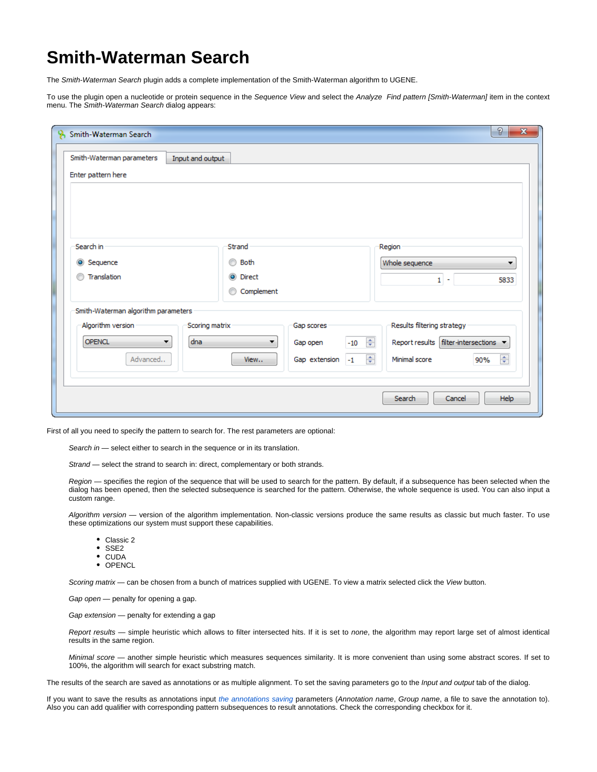## **Smith-Waterman Search**

The Smith-Waterman Search plugin adds a complete implementation of the Smith-Waterman algorithm to UGENE.

To use the plugin open a nucleotide or protein sequence in the Sequence View and select the Analyze Find pattern [Smith-Waterman] item in the context menu. The Smith-Waterman Search dialog appears:

| Input and output |                                                                 |  |  |  |  |  |
|------------------|-----------------------------------------------------------------|--|--|--|--|--|
|                  |                                                                 |  |  |  |  |  |
|                  |                                                                 |  |  |  |  |  |
|                  |                                                                 |  |  |  |  |  |
|                  |                                                                 |  |  |  |  |  |
|                  |                                                                 |  |  |  |  |  |
|                  |                                                                 |  |  |  |  |  |
| Strand           | Region                                                          |  |  |  |  |  |
| ⊙<br>Both        | Whole sequence<br>▼                                             |  |  |  |  |  |
| O Direct         | $1 -$<br>5833                                                   |  |  |  |  |  |
| Complement<br>⊙  |                                                                 |  |  |  |  |  |
|                  |                                                                 |  |  |  |  |  |
| Gap scores       | Results filtering strategy                                      |  |  |  |  |  |
| ▼                | $\frac{\Delta}{2}$<br>Report results filter-intersections ▼     |  |  |  |  |  |
|                  |                                                                 |  |  |  |  |  |
|                  | 수<br>$\Rightarrow$<br>Minimal score<br>90%                      |  |  |  |  |  |
|                  |                                                                 |  |  |  |  |  |
|                  | Scoring matrix<br>$-10$<br>Gap open<br>Gap extension -1<br>View |  |  |  |  |  |

First of all you need to specify the pattern to search for. The rest parameters are optional:

Search in - select either to search in the sequence or in its translation.

Strand - select the strand to search in: direct, complementary or both strands.

Region — specifies the region of the sequence that will be used to search for the pattern. By default, if a subsequence has been selected when the dialog has been opened, then the selected subsequence is searched for the pattern. Otherwise, the whole sequence is used. You can also input a custom range.

Algorithm version — version of the algorithm implementation. Non-classic versions produce the same results as classic but much faster. To use these optimizations our system must support these capabilities.

- Classic 2
- $•$  SSE2
- CUDA
- OPENCL

Scoring matrix - can be chosen from a bunch of matrices supplied with UGENE. To view a matrix selected click the View button.

Gap open - penalty for opening a gap.

Gap extension — penalty for extending a gap

Report results — simple heuristic which allows to filter intersected hits. If it is set to none, the algorithm may report large set of almost identical results in the same region.

Minimal score - another simple heuristic which measures sequences similarity. It is more convenient than using some abstract scores. If set to 100%, the algorithm will search for exact substring match.

The results of the search are saved as annotations or as multiple alignment. To set the saving parameters go to the *Input and output* tab of the dialog.

If you want to save the results as annotations input [the annotations saving](https://doc.ugene.net/wiki/display/UUOUM/Creating+Annotation) parameters (Annotation name, Group name, a file to save the annotation to). Also you can add qualifier with corresponding pattern subsequences to result annotations. Check the corresponding checkbox for it.